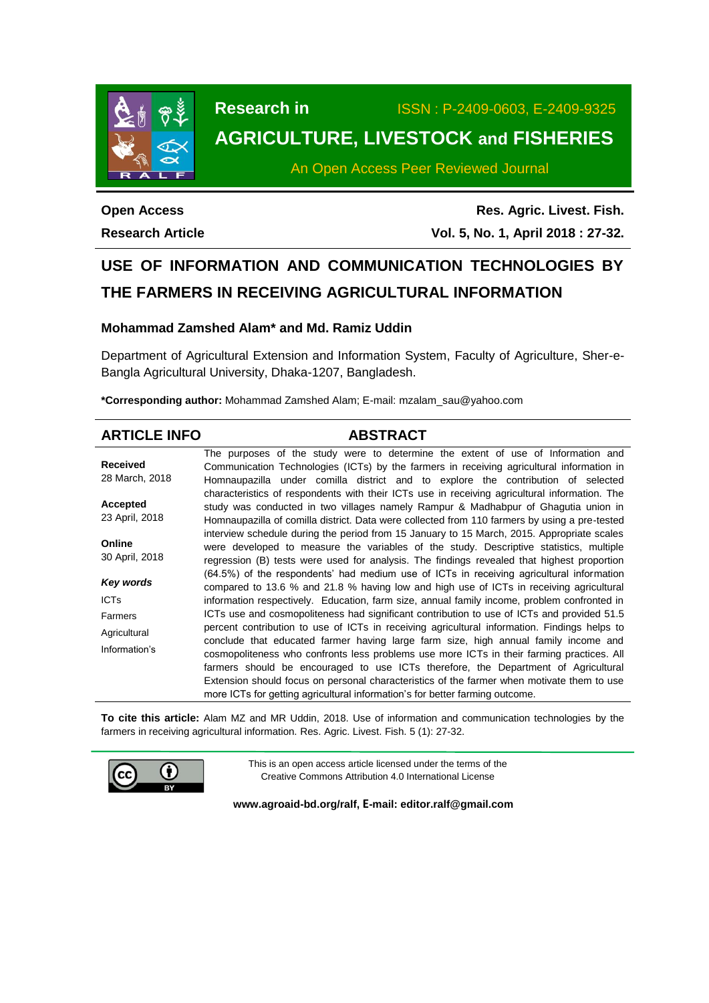

**Research in** ISSN : P-2409-0603, E-2409-9325 **AGRICULTURE, LIVESTOCK and FISHERIES**

An Open Access Peer Reviewed Journal

**Open Access Research Article**

**Res. Agric. Livest. Fish. Vol. 5, No. 1, April 2018 : 27-32.**

# **USE OF INFORMATION AND COMMUNICATION TECHNOLOGIES BY THE FARMERS IN RECEIVING AGRICULTURAL INFORMATION**

# **Mohammad Zamshed Alam\* and Md. Ramiz Uddin**

Department of Agricultural Extension and Information System, Faculty of Agriculture, Sher-e-Bangla Agricultural University, Dhaka-1207, Bangladesh.

**\*Corresponding author:** Mohammad Zamshed Alam; E-mail: mzalam\_sau@yahoo.com

| <b>ABSTRACT</b>                                                                                                                                                                                                                                                                                                                                                                                                                                                                                                                                      |
|------------------------------------------------------------------------------------------------------------------------------------------------------------------------------------------------------------------------------------------------------------------------------------------------------------------------------------------------------------------------------------------------------------------------------------------------------------------------------------------------------------------------------------------------------|
| The purposes of the study were to determine the extent of use of Information and<br>Communication Technologies (ICTs) by the farmers in receiving agricultural information in<br>Homnaupazilla under comilla district and to explore the contribution of selected                                                                                                                                                                                                                                                                                    |
| characteristics of respondents with their ICTs use in receiving agricultural information. The<br>study was conducted in two villages namely Rampur & Madhabpur of Ghagutia union in<br>Homnaupazilla of comilla district. Data were collected from 110 farmers by using a pre-tested                                                                                                                                                                                                                                                                 |
| interview schedule during the period from 15 January to 15 March, 2015. Appropriate scales<br>were developed to measure the variables of the study. Descriptive statistics, multiple<br>regression (B) tests were used for analysis. The findings revealed that highest proportion                                                                                                                                                                                                                                                                   |
| (64.5%) of the respondents' had medium use of ICTs in receiving agricultural information<br>compared to 13.6 % and 21.8 % having low and high use of ICTs in receiving agricultural<br>information respectively. Education, farm size, annual family income, problem confronted in                                                                                                                                                                                                                                                                   |
| ICTs use and cosmopoliteness had significant contribution to use of ICTs and provided 51.5                                                                                                                                                                                                                                                                                                                                                                                                                                                           |
| percent contribution to use of ICTs in receiving agricultural information. Findings helps to<br>conclude that educated farmer having large farm size, high annual family income and<br>cosmopoliteness who confronts less problems use more ICTs in their farming practices. All<br>farmers should be encouraged to use ICTs therefore, the Department of Agricultural<br>Extension should focus on personal characteristics of the farmer when motivate them to use<br>more ICTs for getting agricultural information's for better farming outcome. |
|                                                                                                                                                                                                                                                                                                                                                                                                                                                                                                                                                      |

**To cite this article:** Alam MZ and MR Uddin, 2018. Use of information and communication technologies by the farmers in receiving agricultural information. Res. Agric. Livest. Fish. 5 (1): 27-32.



This is an open access article licensed under the terms of the Creative Commons Attribution 4.0 International License

**[www.agroaid-bd.org/ralf,](http://www.agroaid-bd.org/ralf) E-mail: [editor.ralf@gmail.com](mailto:editor.ralf@gmail.com)**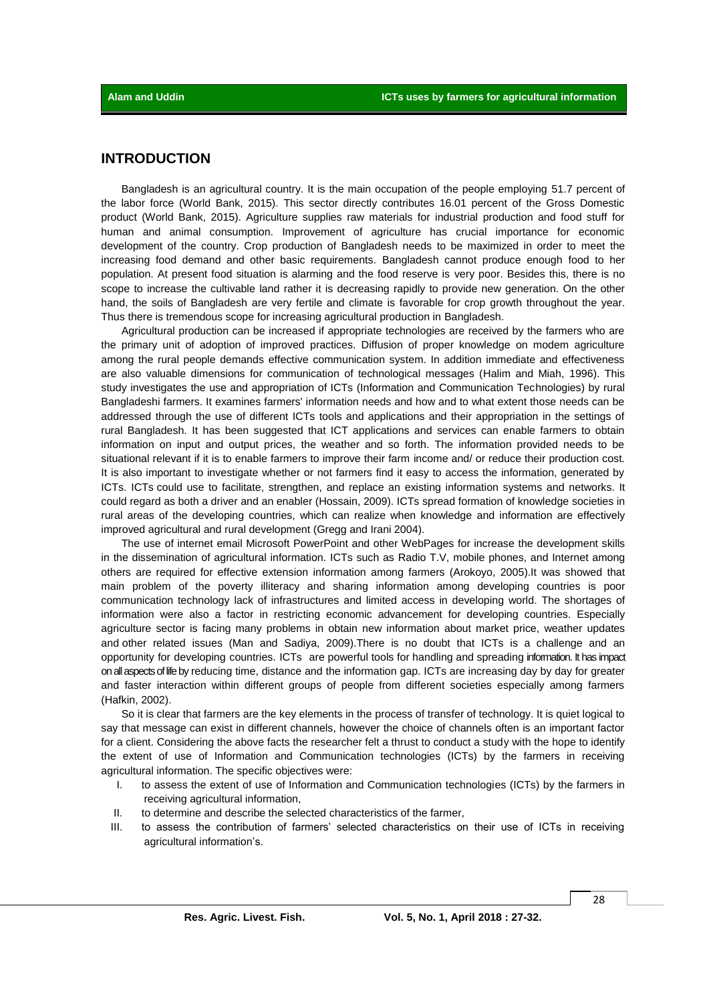### **INTRODUCTION**

Bangladesh is an agricultural country. It is the main occupation of the people employing 51.7 percent of the labor force (World Bank, 2015). This sector directly contributes 16.01 percent of the Gross Domestic product (World Bank, 2015). Agriculture supplies raw materials for industrial production and food stuff for human and animal consumption. Improvement of agriculture has crucial importance for economic development of the country. Crop production of Bangladesh needs to be maximized in order to meet the increasing food demand and other basic requirements. Bangladesh cannot produce enough food to her population. At present food situation is alarming and the food reserve is very poor. Besides this, there is no scope to increase the cultivable land rather it is decreasing rapidly to provide new generation. On the other hand, the soils of Bangladesh are very fertile and climate is favorable for crop growth throughout the year. Thus there is tremendous scope for increasing agricultural production in Bangladesh.

Agricultural production can be increased if appropriate technologies are received by the farmers who are the primary unit of adoption of improved practices. Diffusion of proper knowledge on modem agriculture among the rural people demands effective communication system. In addition immediate and effectiveness are also valuable dimensions for communication of technological messages (Halim and Miah, 1996). This study investigates the use and appropriation of ICTs (Information and Communication Technologies) by rural Bangladeshi farmers. It examines farmers' information needs and how and to what extent those needs can be addressed through the use of different ICTs tools and applications and their appropriation in the settings of rural Bangladesh. It has been suggested that ICT applications and services can enable farmers to obtain information on input and output prices, the weather and so forth. The information provided needs to be situational relevant if it is to enable farmers to improve their farm income and/ or reduce their production cost. It is also important to investigate whether or not farmers find it easy to access the information, generated by ICTs. ICTs could use to facilitate, strengthen, and replace an existing information systems and networks. It could regard as both a driver and an enabler (Hossain, 2009). ICTs spread formation of knowledge societies in rural areas of the developing countries, which can realize when knowledge and information are effectively improved agricultural and rural development (Gregg and Irani 2004).

The use of internet email Microsoft PowerPoint and other WebPages for increase the development skills in the dissemination of agricultural information. ICTs such as Radio T.V, mobile phones, and Internet among others are required for effective extension information among farmers (Arokoyo, 2005).It was showed that main problem of the poverty illiteracy and sharing information among developing countries is poor communication technology lack of infrastructures and limited access in developing world. The shortages of information were also a factor in restricting economic advancement for developing countries. Especially agriculture sector is facing many problems in obtain new information about market price, weather updates and other related issues (Man and Sadiya, 2009).There is no doubt that ICTs is a challenge and an opportunity for developing countries. ICTs are powerful tools for handling and spreading information. It has impact onallaspectsoflifeby reducing time, distance and the information gap. ICTs are increasing day by day for greater and faster interaction within different groups of people from different societies especially among farmers (Hafkin, 2002).

So it is clear that farmers are the key elements in the process of transfer of technology. It is quiet logical to say that message can exist in different channels, however the choice of channels often is an important factor for a client. Considering the above facts the researcher felt a thrust to conduct a study with the hope to identify the extent of use of Information and Communication technologies (ICTs) by the farmers in receiving agricultural information. The specific objectives were:

- I. to assess the extent of use of Information and Communication technologies (ICTs) by the farmers in receiving agricultural information,
- II. to determine and describe the selected characteristics of the farmer,
- III. to assess the contribution of farmers' selected characteristics on their use of ICTs in receiving agricultural information's.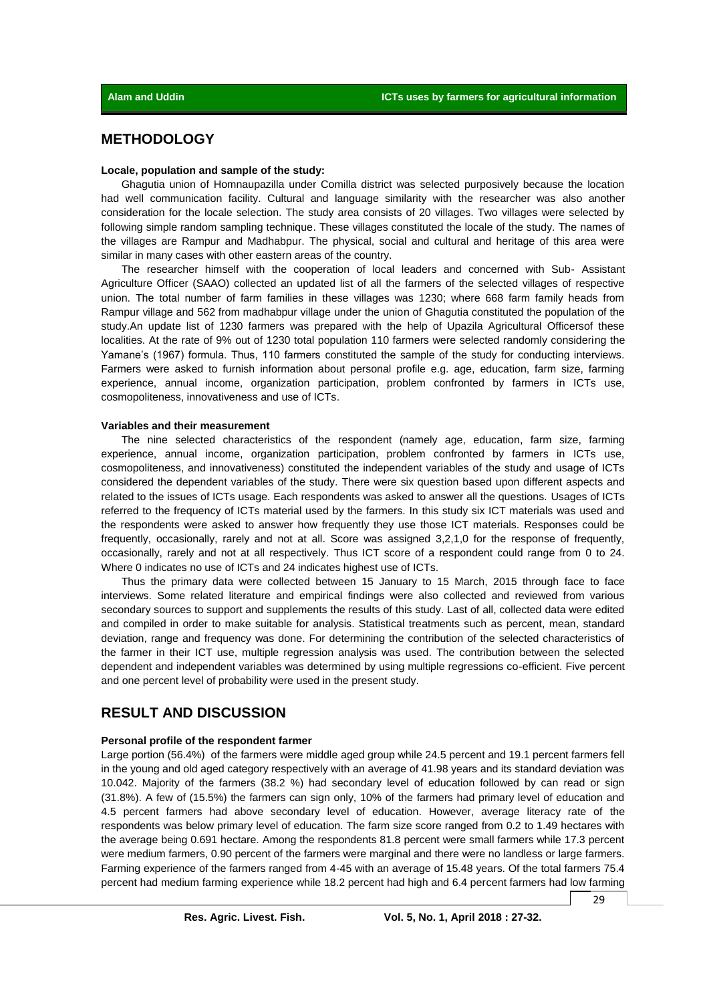## **METHODOLOGY**

#### **Locale, population and sample of the study:**

Ghagutia union of Homnaupazilla under Comilla district was selected purposively because the location had well communication facility. Cultural and language similarity with the researcher was also another consideration for the locale selection. The study area consists of 20 villages. Two villages were selected by following simple random sampling technique. These villages constituted the locale of the study. The names of the villages are Rampur and Madhabpur. The physical, social and cultural and heritage of this area were similar in many cases with other eastern areas of the country.

The researcher himself with the cooperation of local leaders and concerned with Sub- Assistant Agriculture Officer (SAAO) collected an updated list of all the farmers of the selected villages of respective union. The total number of farm families in these villages was 1230; where 668 farm family heads from Rampur village and 562 from madhabpur village under the union of Ghagutia constituted the population of the study.An update list of 1230 farmers was prepared with the help of Upazila Agricultural Officersof these localities. At the rate of 9% out of 1230 total population 110 farmers were selected randomly considering the Yamane's (1967) formula. Thus, 110 farmers constituted the sample of the study for conducting interviews. Farmers were asked to furnish information about personal profile e.g. age, education, farm size, farming experience, annual income, organization participation, problem confronted by farmers in ICTs use, cosmopoliteness, innovativeness and use of ICTs.

#### **Variables and their measurement**

The nine selected characteristics of the respondent (namely age, education, farm size, farming experience, annual income, organization participation, problem confronted by farmers in ICTs use, cosmopoliteness, and innovativeness) constituted the independent variables of the study and usage of ICTs considered the dependent variables of the study. There were six question based upon different aspects and related to the issues of ICTs usage. Each respondents was asked to answer all the questions. Usages of ICTs referred to the frequency of ICTs material used by the farmers. In this study six ICT materials was used and the respondents were asked to answer how frequently they use those ICT materials. Responses could be frequently, occasionally, rarely and not at all. Score was assigned 3,2,1,0 for the response of frequently, occasionally, rarely and not at all respectively. Thus ICT score of a respondent could range from 0 to 24. Where 0 indicates no use of ICTs and 24 indicates highest use of ICTs.

Thus the primary data were collected between 15 January to 15 March, 2015 through face to face interviews. Some related literature and empirical findings were also collected and reviewed from various secondary sources to support and supplements the results of this study. Last of all, collected data were edited and compiled in order to make suitable for analysis. Statistical treatments such as percent, mean, standard deviation, range and frequency was done. For determining the contribution of the selected characteristics of the farmer in their ICT use, multiple regression analysis was used. The contribution between the selected dependent and independent variables was determined by using multiple regressions co-efficient. Five percent and one percent level of probability were used in the present study.

# **RESULT AND DISCUSSION**

#### **Personal profile of the respondent farmer**

Large portion (56.4%) of the farmers were middle aged group while 24.5 percent and 19.1 percent farmers fell in the young and old aged category respectively with an average of 41.98 years and its standard deviation was 10.042. Majority of the farmers (38.2 %) had secondary level of education followed by can read or sign (31.8%). A few of (15.5%) the farmers can sign only, 10% of the farmers had primary level of education and 4.5 percent farmers had above secondary level of education. However, average literacy rate of the respondents was below primary level of education. The farm size score ranged from 0.2 to 1.49 hectares with the average being 0.691 hectare. Among the respondents 81.8 percent were small farmers while 17.3 percent were medium farmers, 0.90 percent of the farmers were marginal and there were no landless or large farmers. Farming experience of the farmers ranged from 4-45 with an average of 15.48 years. Of the total farmers 75.4 percent had medium farming experience while 18.2 percent had high and 6.4 percent farmers had low farming

29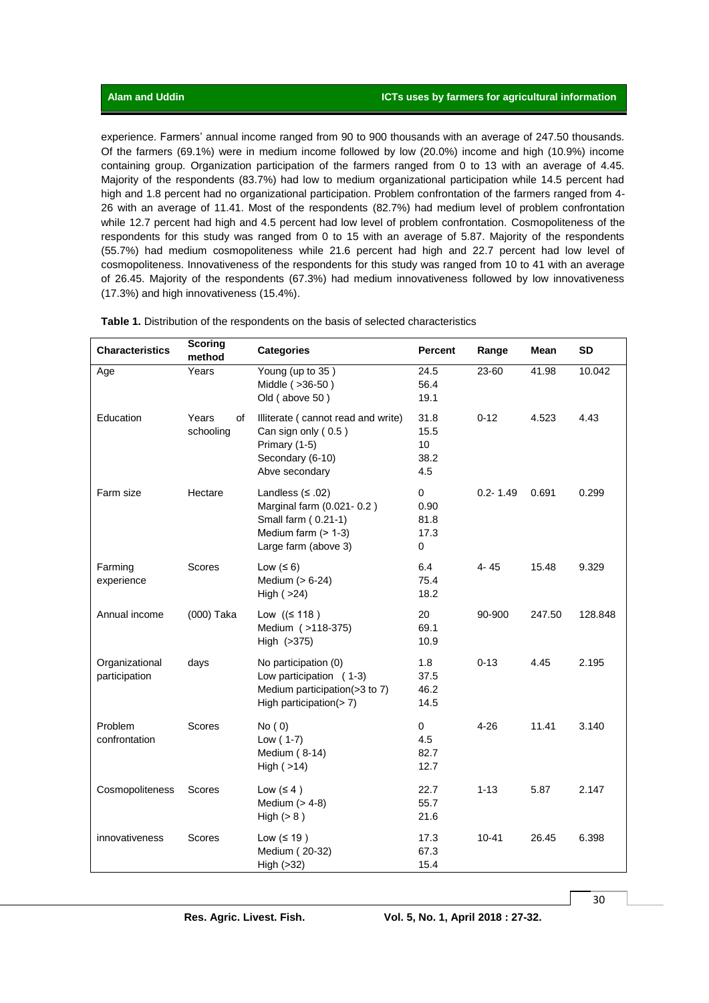experience. Farmers' annual income ranged from 90 to 900 thousands with an average of 247.50 thousands. Of the farmers (69.1%) were in medium income followed by low (20.0%) income and high (10.9%) income containing group. Organization participation of the farmers ranged from 0 to 13 with an average of 4.45. Majority of the respondents (83.7%) had low to medium organizational participation while 14.5 percent had high and 1.8 percent had no organizational participation. Problem confrontation of the farmers ranged from 4-26 with an average of 11.41. Most of the respondents (82.7%) had medium level of problem confrontation while 12.7 percent had high and 4.5 percent had low level of problem confrontation. Cosmopoliteness of the respondents for this study was ranged from 0 to 15 with an average of 5.87. Majority of the respondents (55.7%) had medium cosmopoliteness while 21.6 percent had high and 22.7 percent had low level of cosmopoliteness. Innovativeness of the respondents for this study was ranged from 10 to 41 with an average of 26.45. Majority of the respondents (67.3%) had medium innovativeness followed by low innovativeness (17.3%) and high innovativeness (15.4%).

| <b>Characteristics</b>          | <b>Scoring</b><br>method | <b>Categories</b>                                                                                                       | <b>Percent</b>                    | Range        | Mean   | <b>SD</b> |
|---------------------------------|--------------------------|-------------------------------------------------------------------------------------------------------------------------|-----------------------------------|--------------|--------|-----------|
| Age                             | Years                    | Young (up to 35)<br>Middle (>36-50)<br>Old (above 50)                                                                   | 24.5<br>56.4<br>19.1              | 23-60        | 41.98  | 10.042    |
| Education                       | Years<br>of<br>schooling | Illiterate (cannot read and write)<br>Can sign only (0.5)<br>Primary (1-5)<br>Secondary (6-10)<br>Abve secondary        | 31.8<br>15.5<br>10<br>38.2<br>4.5 | $0 - 12$     | 4.523  | 4.43      |
| Farm size                       | Hectare                  | Landless $(5.02)$<br>Marginal farm (0.021-0.2)<br>Small farm (0.21-1)<br>Medium farm $($ > 1-3)<br>Large farm (above 3) | 0<br>0.90<br>81.8<br>17.3<br>0    | $0.2 - 1.49$ | 0.691  | 0.299     |
| Farming<br>experience           | Scores                   | Low $(56)$<br>Medium (> 6-24)<br>High $( >24)$                                                                          | 6.4<br>75.4<br>18.2               | 4-45         | 15.48  | 9.329     |
| Annual income                   | (000) Taka               | Low ( $≤ 118$ )<br>Medium ( > 118-375)<br>High (>375)                                                                   | 20<br>69.1<br>10.9                | 90-900       | 247.50 | 128.848   |
| Organizational<br>participation | days                     | No participation (0)<br>Low participation (1-3)<br>Medium participation(>3 to 7)<br>High participation(>7)              | 1.8<br>37.5<br>46.2<br>14.5       | $0 - 13$     | 4.45   | 2.195     |
| Problem<br>confrontation        | Scores                   | No(0)<br>Low $(1-7)$<br>Medium (8-14)<br>High $($ >14)                                                                  | 0<br>4.5<br>82.7<br>12.7          | 4-26         | 11.41  | 3.140     |
| Cosmopoliteness                 | Scores                   | Low $(4)$<br>Medium $(> 4-8)$<br>High $(> 8)$                                                                           | 22.7<br>55.7<br>21.6              | $1 - 13$     | 5.87   | 2.147     |
| innovativeness                  | Scores                   | Low $(≤ 19)$<br>Medium (20-32)<br>High (>32)                                                                            | 17.3<br>67.3<br>15.4              | $10 - 41$    | 26.45  | 6.398     |

**Table 1.** Distribution of the respondents on the basis of selected characteristics

30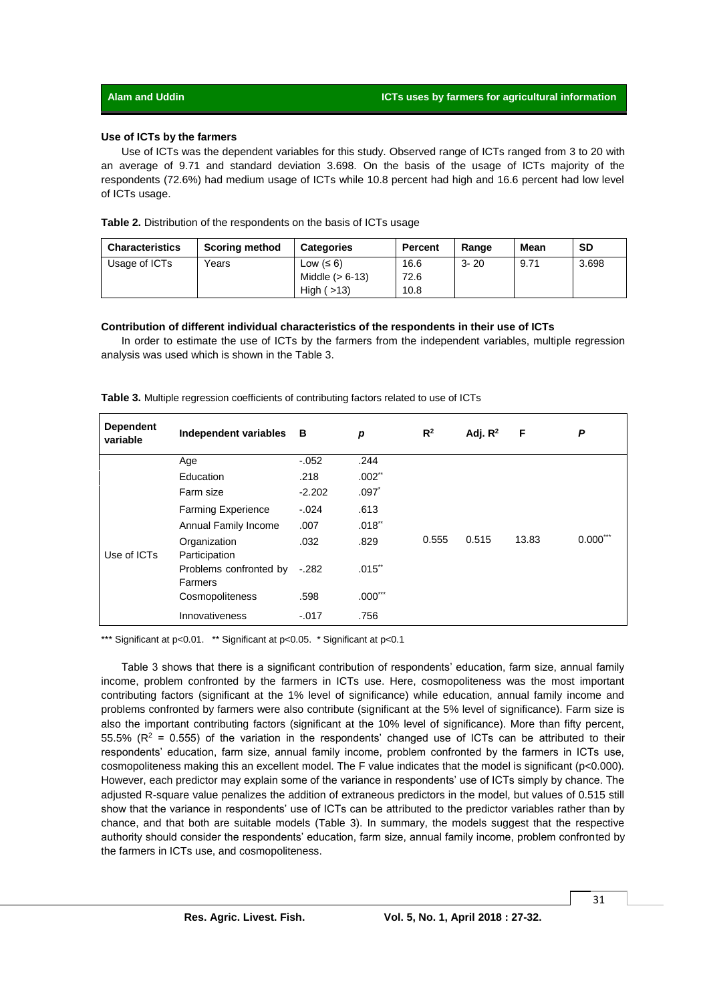#### **Use of ICTs by the farmers**

Use of ICTs was the dependent variables for this study. Observed range of ICTs ranged from 3 to 20 with an average of 9.71 and standard deviation 3.698. On the basis of the usage of ICTs majority of the respondents (72.6%) had medium usage of ICTs while 10.8 percent had high and 16.6 percent had low level of ICTs usage.

|  |  |  | Table 2. Distribution of the respondents on the basis of ICTs usage |  |  |  |
|--|--|--|---------------------------------------------------------------------|--|--|--|
|--|--|--|---------------------------------------------------------------------|--|--|--|

| <b>Characteristics</b> | <b>Scoring method</b> | <b>Categories</b> | <b>Percent</b> | Range    | Mean | <b>SD</b> |
|------------------------|-----------------------|-------------------|----------------|----------|------|-----------|
| Usage of ICTs          | Years                 | Low $(6)$         | 16.6           | $3 - 20$ | 9.71 | 3.698     |
|                        |                       | Middle $(> 6-13)$ | 72.6           |          |      |           |
|                        |                       | High $($ >13)     | 10.8           |          |      |           |

#### **Contribution of different individual characteristics of the respondents in their use of ICTs**

In order to estimate the use of ICTs by the farmers from the independent variables, multiple regression analysis was used which is shown in the Table 3.

| <b>Dependent</b><br>variable | Independent variables             | в        | p                    | $R^2$ | Adj. $R^2$ | F     | P          |
|------------------------------|-----------------------------------|----------|----------------------|-------|------------|-------|------------|
|                              | Age                               | $-0.052$ | .244                 |       |            |       |            |
|                              | Education                         | .218     | $.002$ <sup>**</sup> |       |            |       |            |
|                              | Farm size                         | $-2.202$ | $.097*$              |       |            |       |            |
| Use of ICTs                  | <b>Farming Experience</b>         | $-.024$  | .613                 |       |            |       |            |
|                              | Annual Family Income              | .007     | .018"                |       | 0.515      | 13.83 |            |
|                              | Organization<br>Participation     | .032     | .829                 | 0.555 |            |       | $0.000***$ |
|                              | Problems confronted by<br>Farmers | $-.282$  | $.015$ **            |       |            |       |            |
|                              | Cosmopoliteness                   | .598     | $.000***$            |       |            |       |            |
|                              | Innovativeness                    | $-.017$  | .756                 |       |            |       |            |

| <b>Table 3.</b> Multiple regression coefficients of contributing factors related to use of ICTs |  |  |  |  |  |  |  |  |
|-------------------------------------------------------------------------------------------------|--|--|--|--|--|--|--|--|
|-------------------------------------------------------------------------------------------------|--|--|--|--|--|--|--|--|

\*\*\* Significant at p<0.01. \*\* Significant at p<0.05. \* Significant at p<0.1

Table 3 shows that there is a significant contribution of respondents' education, farm size, annual family income, problem confronted by the farmers in ICTs use. Here, cosmopoliteness was the most important contributing factors (significant at the 1% level of significance) while education, annual family income and problems confronted by farmers were also contribute (significant at the 5% level of significance). Farm size is also the important contributing factors (significant at the 10% level of significance). More than fifty percent, 55.5% ( $R^2$  = 0.555) of the variation in the respondents' changed use of ICTs can be attributed to their respondents' education, farm size, annual family income, problem confronted by the farmers in ICTs use, cosmopoliteness making this an excellent model. The F value indicates that the model is significant (p<0.000). However, each predictor may explain some of the variance in respondents' use of ICTs simply by chance. The adjusted R-square value penalizes the addition of extraneous predictors in the model, but values of 0.515 still show that the variance in respondents' use of ICTs can be attributed to the predictor variables rather than by chance, and that both are suitable models (Table 3). In summary, the models suggest that the respective authority should consider the respondents' education, farm size, annual family income, problem confronted by the farmers in ICTs use, and cosmopoliteness.